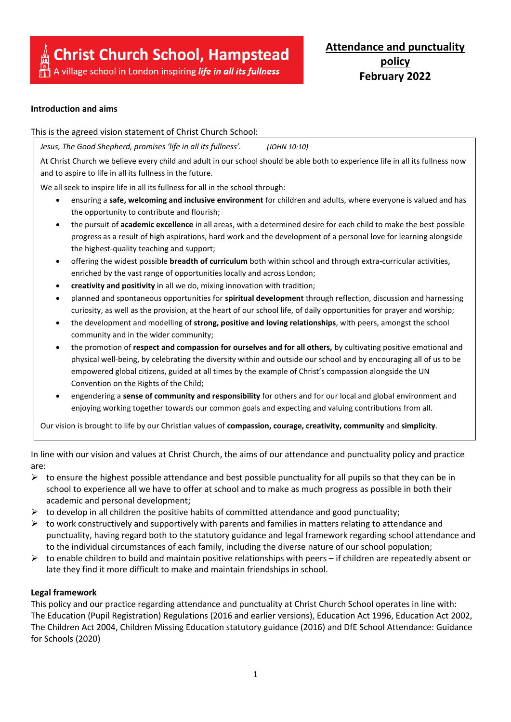# A village school in London inspiring *life in all its fullness*

## **Introduction and aims**

This is the agreed vision statement of Christ Church School:

*Jesus, The Good Shepherd, promises 'life in all its fullness'. (JOHN 10:10)*

At Christ Church we believe every child and adult in our school should be able both to experience life in all its fullness now and to aspire to life in all its fullness in the future.

We all seek to inspire life in all its fullness for all in the school through:

- ensuring a **safe, welcoming and inclusive environment** for children and adults, where everyone is valued and has the opportunity to contribute and flourish;
- the pursuit of **academic excellence** in all areas, with a determined desire for each child to make the best possible progress as a result of high aspirations, hard work and the development of a personal love for learning alongside the highest-quality teaching and support;
- offering the widest possible **breadth of curriculum** both within school and through extra-curricular activities, enriched by the vast range of opportunities locally and across London;
- **creativity and positivity** in all we do, mixing innovation with tradition;
- planned and spontaneous opportunities for **spiritual development** through reflection, discussion and harnessing curiosity, as well as the provision, at the heart of our school life, of daily opportunities for prayer and worship;
- the development and modelling of **strong, positive and loving relationships**, with peers, amongst the school community and in the wider community;
- the promotion of **respect and compassion for ourselves and for all others,** by cultivating positive emotional and physical well-being, by celebrating the diversity within and outside our school and by encouraging all of us to be empowered global citizens, guided at all times by the example of Christ's compassion alongside the UN Convention on the Rights of the Child;
- engendering a **sense of community and responsibility** for others and for our local and global environment and enjoying working together towards our common goals and expecting and valuing contributions from all.

Our vision is brought to life by our Christian values of **compassion, courage, creativity, community** and **simplicity**.

In line with our vision and values at Christ Church, the aims of our attendance and punctuality policy and practice are:

- $\triangleright$  to ensure the highest possible attendance and best possible punctuality for all pupils so that they can be in school to experience all we have to offer at school and to make as much progress as possible in both their academic and personal development;
- $\triangleright$  to develop in all children the positive habits of committed attendance and good punctuality;
- $\triangleright$  to work constructively and supportively with parents and families in matters relating to attendance and punctuality, having regard both to the statutory guidance and legal framework regarding school attendance and to the individual circumstances of each family, including the diverse nature of our school population;
- $\triangleright$  to enable children to build and maintain positive relationships with peers if children are repeatedly absent or late they find it more difficult to make and maintain friendships in school.

## **Legal framework**

This policy and our practice regarding attendance and punctuality at Christ Church School operates in line with: The Education (Pupil Registration) Regulations (2016 and earlier versions), Education Act 1996, Education Act 2002, The Children Act 2004, Children Missing Education statutory guidance (2016) and DfE School Attendance: Guidance for Schools (2020)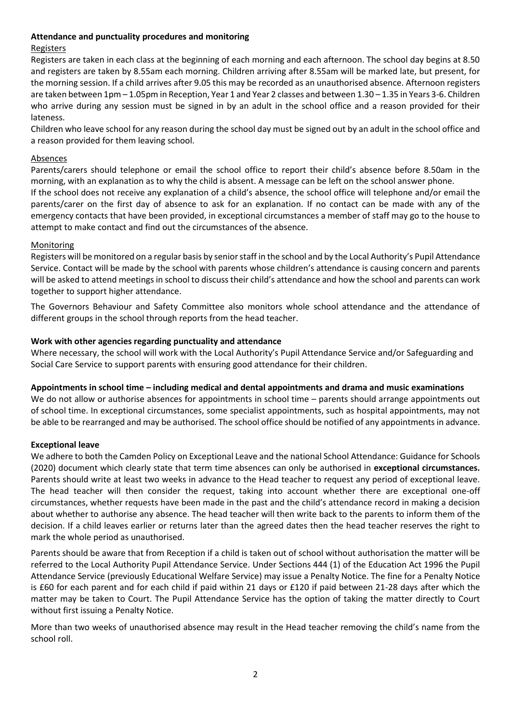#### **Attendance and punctuality procedures and monitoring**

## Registers

Registers are taken in each class at the beginning of each morning and each afternoon. The school day begins at 8.50 and registers are taken by 8.55am each morning. Children arriving after 8.55am will be marked late, but present, for the morning session. If a child arrives after 9.05 this may be recorded as an unauthorised absence. Afternoon registers are taken between 1pm – 1.05pm in Reception, Year 1 and Year 2 classes and between 1.30 – 1.35 in Years 3-6. Children who arrive during any session must be signed in by an adult in the school office and a reason provided for their lateness.

Children who leave school for any reason during the school day must be signed out by an adult in the school office and a reason provided for them leaving school.

#### Absences

Parents/carers should telephone or email the school office to report their child's absence before 8.50am in the morning, with an explanation as to why the child is absent. A message can be left on the school answer phone.

If the school does not receive any explanation of a child's absence, the school office will telephone and/or email the parents/carer on the first day of absence to ask for an explanation. If no contact can be made with any of the emergency contacts that have been provided, in exceptional circumstances a member of staff may go to the house to attempt to make contact and find out the circumstances of the absence.

#### **Monitoring**

Registers will be monitored on a regular basis by senior staff in the school and by the Local Authority's Pupil Attendance Service. Contact will be made by the school with parents whose children's attendance is causing concern and parents will be asked to attend meetings in school to discuss their child's attendance and how the school and parents can work together to support higher attendance.

The Governors Behaviour and Safety Committee also monitors whole school attendance and the attendance of different groups in the school through reports from the head teacher.

#### **Work with other agencies regarding punctuality and attendance**

Where necessary, the school will work with the Local Authority's Pupil Attendance Service and/or Safeguarding and Social Care Service to support parents with ensuring good attendance for their children.

#### **Appointments in school time – including medical and dental appointments and drama and music examinations**

We do not allow or authorise absences for appointments in school time – parents should arrange appointments out of school time. In exceptional circumstances, some specialist appointments, such as hospital appointments, may not be able to be rearranged and may be authorised. The school office should be notified of any appointments in advance.

#### **Exceptional leave**

We adhere to both the Camden Policy on Exceptional Leave and the national School Attendance: Guidance for Schools (2020) document which clearly state that term time absences can only be authorised in **exceptional circumstances.** Parents should write at least two weeks in advance to the Head teacher to request any period of exceptional leave. The head teacher will then consider the request, taking into account whether there are exceptional one-off circumstances, whether requests have been made in the past and the child's attendance record in making a decision about whether to authorise any absence. The head teacher will then write back to the parents to inform them of the decision. If a child leaves earlier or returns later than the agreed dates then the head teacher reserves the right to mark the whole period as unauthorised.

Parents should be aware that from Reception if a child is taken out of school without authorisation the matter will be referred to the Local Authority Pupil Attendance Service. Under Sections 444 (1) of the Education Act 1996 the Pupil Attendance Service (previously Educational Welfare Service) may issue a Penalty Notice. The fine for a Penalty Notice is £60 for each parent and for each child if paid within 21 days or £120 if paid between 21-28 days after which the matter may be taken to Court. The Pupil Attendance Service has the option of taking the matter directly to Court without first issuing a Penalty Notice.

More than two weeks of unauthorised absence may result in the Head teacher removing the child's name from the school roll.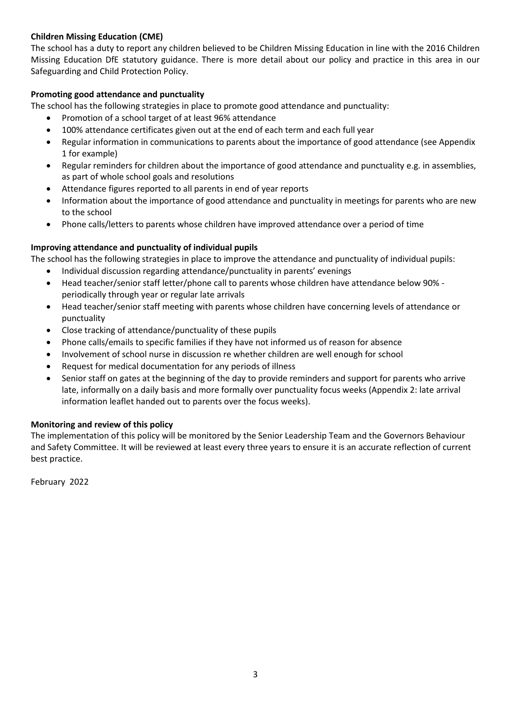# **Children Missing Education (CME)**

The school has a duty to report any children believed to be Children Missing Education in line with the 2016 Children Missing Education DfE statutory guidance. There is more detail about our policy and practice in this area in our Safeguarding and Child Protection Policy.

## **Promoting good attendance and punctuality**

The school has the following strategies in place to promote good attendance and punctuality:

- Promotion of a school target of at least 96% attendance
- 100% attendance certificates given out at the end of each term and each full year
- Regular information in communications to parents about the importance of good attendance (see Appendix 1 for example)
- Regular reminders for children about the importance of good attendance and punctuality e.g. in assemblies, as part of whole school goals and resolutions
- Attendance figures reported to all parents in end of year reports
- Information about the importance of good attendance and punctuality in meetings for parents who are new to the school
- Phone calls/letters to parents whose children have improved attendance over a period of time

## **Improving attendance and punctuality of individual pupils**

The school has the following strategies in place to improve the attendance and punctuality of individual pupils:

- Individual discussion regarding attendance/punctuality in parents' evenings
- Head teacher/senior staff letter/phone call to parents whose children have attendance below 90% periodically through year or regular late arrivals
- Head teacher/senior staff meeting with parents whose children have concerning levels of attendance or punctuality
- Close tracking of attendance/punctuality of these pupils
- Phone calls/emails to specific families if they have not informed us of reason for absence
- Involvement of school nurse in discussion re whether children are well enough for school
- Request for medical documentation for any periods of illness
- Senior staff on gates at the beginning of the day to provide reminders and support for parents who arrive late, informally on a daily basis and more formally over punctuality focus weeks (Appendix 2: late arrival information leaflet handed out to parents over the focus weeks).

## **Monitoring and review of this policy**

The implementation of this policy will be monitored by the Senior Leadership Team and the Governors Behaviour and Safety Committee. It will be reviewed at least every three years to ensure it is an accurate reflection of current best practice.

February 2022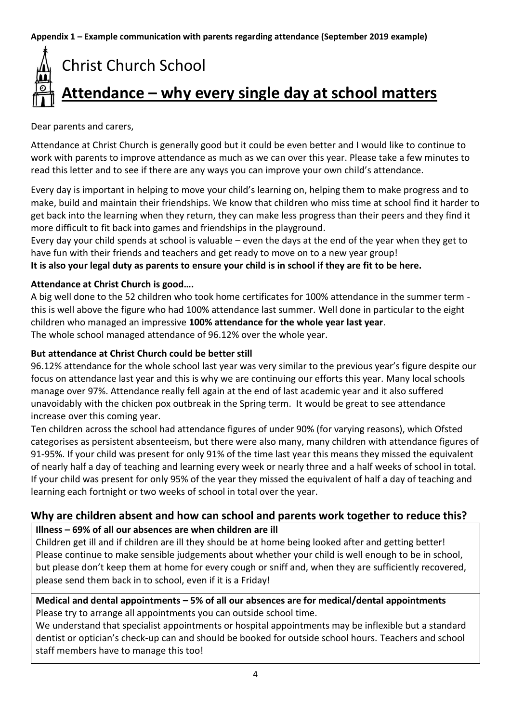**Appendix 1 – Example communication with parents regarding attendance (September 2019 example)**

# Christ Church School **Attendance – why every single day at school matters**

Dear parents and carers,

Attendance at Christ Church is generally good but it could be even better and I would like to continue to work with parents to improve attendance as much as we can over this year. Please take a few minutes to read this letter and to see if there are any ways you can improve your own child's attendance.

Every day is important in helping to move your child's learning on, helping them to make progress and to make, build and maintain their friendships. We know that children who miss time at school find it harder to get back into the learning when they return, they can make less progress than their peers and they find it more difficult to fit back into games and friendships in the playground.

Every day your child spends at school is valuable – even the days at the end of the year when they get to have fun with their friends and teachers and get ready to move on to a new year group!

**It is also your legal duty as parents to ensure your child is in school if they are fit to be here.**

# **Attendance at Christ Church is good….**

A big well done to the 52 children who took home certificates for 100% attendance in the summer term this is well above the figure who had 100% attendance last summer. Well done in particular to the eight children who managed an impressive **100% attendance for the whole year last year**. The whole school managed attendance of 96.12% over the whole year.

# **But attendance at Christ Church could be better still**

96.12% attendance for the whole school last year was very similar to the previous year's figure despite our focus on attendance last year and this is why we are continuing our efforts this year. Many local schools manage over 97%. Attendance really fell again at the end of last academic year and it also suffered unavoidably with the chicken pox outbreak in the Spring term. It would be great to see attendance increase over this coming year.

Ten children across the school had attendance figures of under 90% (for varying reasons), which Ofsted categorises as persistent absenteeism, but there were also many, many children with attendance figures of 91-95%. If your child was present for only 91% of the time last year this means they missed the equivalent of nearly half a day of teaching and learning every week or nearly three and a half weeks of school in total. If your child was present for only 95% of the year they missed the equivalent of half a day of teaching and learning each fortnight or two weeks of school in total over the year.

# **Why are children absent and how can school and parents work together to reduce this? Illness – 69% of all our absences are when children are ill**

Children get ill and if children are ill they should be at home being looked after and getting better! Please continue to make sensible judgements about whether your child is well enough to be in school, but please don't keep them at home for every cough or sniff and, when they are sufficiently recovered, please send them back in to school, even if it is a Friday!

# **Medical and dental appointments – 5% of all our absences are for medical/dental appointments** Please try to arrange all appointments you can outside school time.

We understand that specialist appointments or hospital appointments may be inflexible but a standard dentist or optician's check-up can and should be booked for outside school hours. Teachers and school staff members have to manage this too!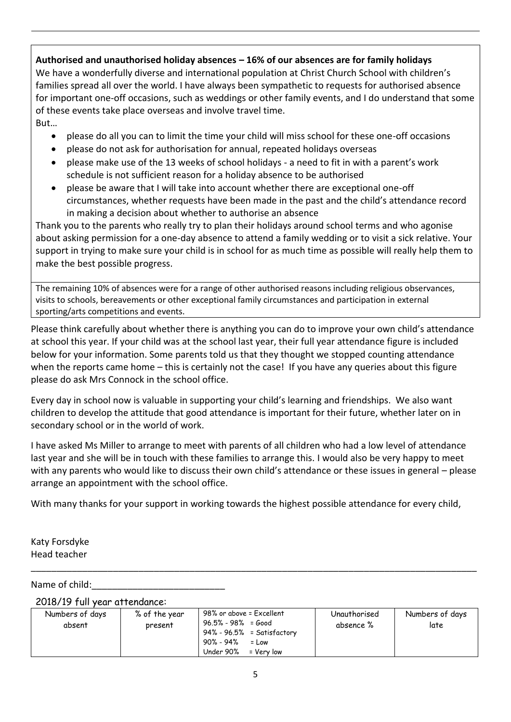**Authorised and unauthorised holiday absences – 16% of our absences are for family holidays** We have a wonderfully diverse and international population at Christ Church School with children's families spread all over the world. I have always been sympathetic to requests for authorised absence for important one-off occasions, such as weddings or other family events, and I do understand that some of these events take place overseas and involve travel time. But…

- please do all you can to limit the time your child will miss school for these one-off occasions
- please do not ask for authorisation for annual, repeated holidays overseas
- please make use of the 13 weeks of school holidays a need to fit in with a parent's work schedule is not sufficient reason for a holiday absence to be authorised
- please be aware that I will take into account whether there are exceptional one-off circumstances, whether requests have been made in the past and the child's attendance record in making a decision about whether to authorise an absence

Thank you to the parents who really try to plan their holidays around school terms and who agonise about asking permission for a one-day absence to attend a family wedding or to visit a sick relative. Your support in trying to make sure your child is in school for as much time as possible will really help them to make the best possible progress.

The remaining 10% of absences were for a range of other authorised reasons including religious observances, visits to schools, bereavements or other exceptional family circumstances and participation in external sporting/arts competitions and events.

Please think carefully about whether there is anything you can do to improve your own child's attendance at school this year. If your child was at the school last year, their full year attendance figure is included below for your information. Some parents told us that they thought we stopped counting attendance when the reports came home – this is certainly not the case! If you have any queries about this figure please do ask Mrs Connock in the school office.

Every day in school now is valuable in supporting your child's learning and friendships. We also want children to develop the attitude that good attendance is important for their future, whether later on in secondary school or in the world of work.

I have asked Ms Miller to arrange to meet with parents of all children who had a low level of attendance last year and she will be in touch with these families to arrange this. I would also be very happy to meet with any parents who would like to discuss their own child's attendance or these issues in general – please arrange an appointment with the school office.

With many thanks for your support in working towards the highest possible attendance for every child,

Katy Forsdyke Head teacher

## Name of child:

#### 2018/19 full year attendance:

| Numbers of days<br>absent | % of the year<br>present | 98% or above = Excellent<br>$96.5\% - 98\% = Good$<br>$94\%$ - $96.5\%$ = Satisfactory<br>90% - 94%<br>$=$ Low | Unauthorised<br>absence % | Numbers of days<br>late |
|---------------------------|--------------------------|----------------------------------------------------------------------------------------------------------------|---------------------------|-------------------------|
|                           |                          | Under $90\%$ = Very low                                                                                        |                           |                         |

\_\_\_\_\_\_\_\_\_\_\_\_\_\_\_\_\_\_\_\_\_\_\_\_\_\_\_\_\_\_\_\_\_\_\_\_\_\_\_\_\_\_\_\_\_\_\_\_\_\_\_\_\_\_\_\_\_\_\_\_\_\_\_\_\_\_\_\_\_\_\_\_\_\_\_\_\_\_\_\_\_\_\_\_\_\_\_